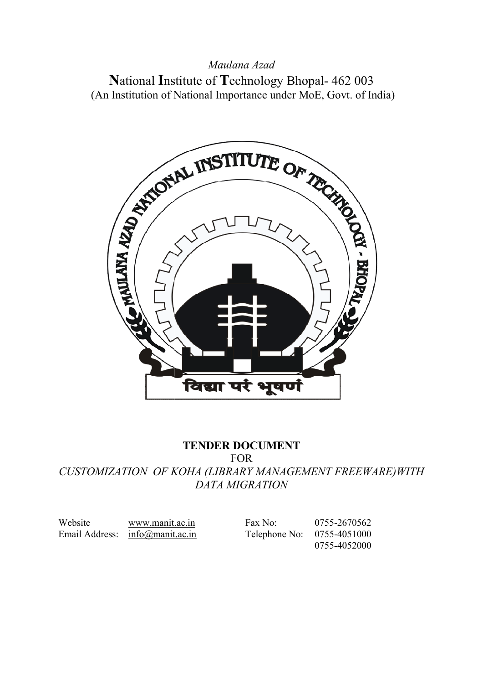#### Maulana Azad

National Institute of Technology Bhopal- 462 003 (An Institution of National Importance under MoE, Govt. of India)



## TENDER DOCUMENT

CUSTOMIZATION OF KOHA (LIBRARY MANAGEMENT FREEWARE)WITH CUSTOMIZATION OF FOR DATA MIGRATION

Website www.manit.ac.in Fax No: 0755-2670562 Email Address: info@manit.ac.in

info@manit.ac.in Telephone No: 0755-4051000

0755-4052000 2670562<br>4051000<br>4052000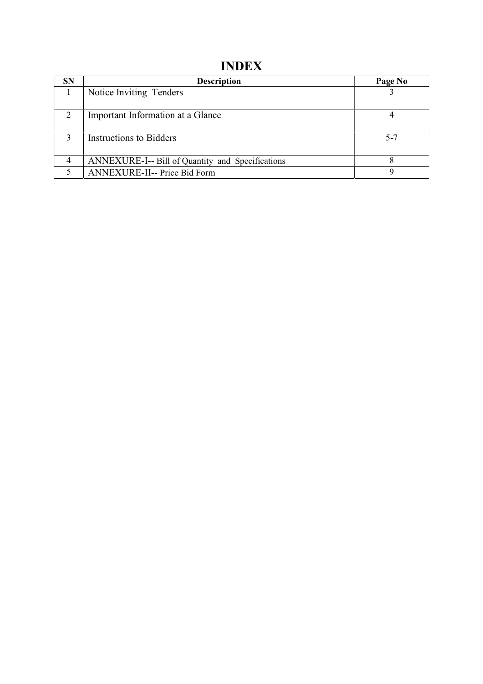# INDEX

| <b>SN</b> | <b>Description</b>                               | Page No |
|-----------|--------------------------------------------------|---------|
|           | Notice Inviting Tenders                          |         |
|           | Important Information at a Glance                |         |
| 3         | <b>Instructions to Bidders</b>                   | $5 - 7$ |
|           | ANNEXURE-I-- Bill of Quantity and Specifications |         |
|           | ANNEXURE-II-- Price Bid Form                     |         |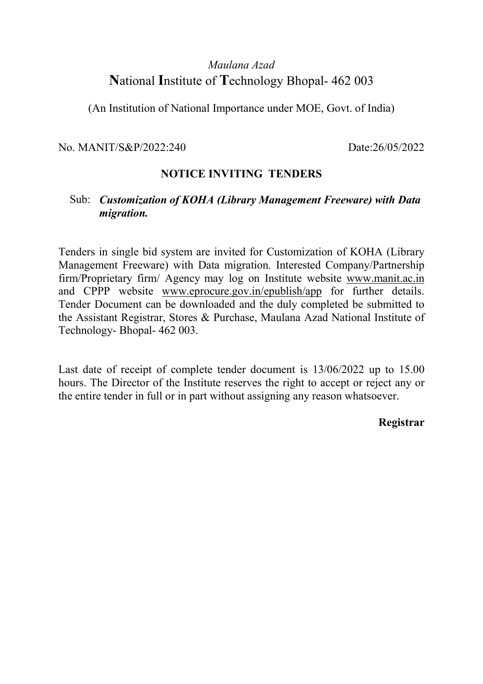## Maulana Azad National Institute of Technology Bhopal- 462 003

(An Institution of National Importance under MOE, Govt. of India)

No. MANIT/S&P/2022:240 Date:26/05/2022

#### NOTICE INVITING TENDERS

#### Sub: Customization of KOHA (Library Management Freeware) with Data migration.

Tenders in single bid system are invited for Customization of KOHA (Library Management Freeware) with Data migration. Interested Company/Partnership firm/Proprietary firm/ Agency may log on Institute website www.manit.ac.in and CPPP website www.eprocure.gov.in/epublish/app for further details. Tender Document can be downloaded and the duly completed be submitted to the Assistant Registrar, Stores & Purchase, Maulana Azad National Institute of Technology- Bhopal- 462 003.

Last date of receipt of complete tender document is 13/06/2022 up to 15.00 hours. The Director of the Institute reserves the right to accept or reject any or the entire tender in full or in part without assigning any reason whatsoever.

#### Registrar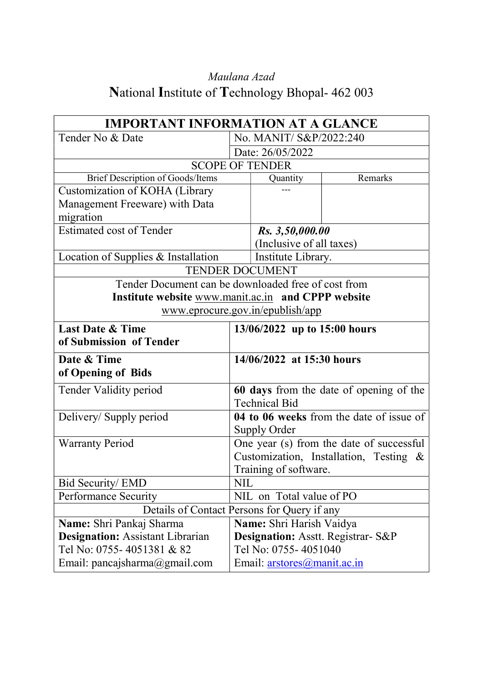# Maulana Azad National Institute of Technology Bhopal- 462 003

| <b>IMPORTANT INFORMATION AT A GLANCE</b>            |  |                                          |                                          |
|-----------------------------------------------------|--|------------------------------------------|------------------------------------------|
| Tender No & Date                                    |  | No. MANIT/ S&P/2022:240                  |                                          |
|                                                     |  | Date: 26/05/2022                         |                                          |
|                                                     |  | <b>SCOPE OF TENDER</b>                   |                                          |
| Brief Description of Goods/Items                    |  | Quantity                                 | Remarks                                  |
| Customization of KOHA (Library                      |  |                                          |                                          |
| Management Freeware) with Data                      |  |                                          |                                          |
| migration                                           |  |                                          |                                          |
| <b>Estimated cost of Tender</b>                     |  | Rs. 3,50,000.00                          |                                          |
|                                                     |  | (Inclusive of all taxes)                 |                                          |
| Location of Supplies & Installation                 |  | Institute Library.                       |                                          |
|                                                     |  | <b>TENDER DOCUMENT</b>                   |                                          |
| Tender Document can be downloaded free of cost from |  |                                          |                                          |
| Institute website www.manit.ac.in and CPPP website  |  |                                          |                                          |
|                                                     |  | www.eprocure.gov.in/epublish/app         |                                          |
| <b>Last Date &amp; Time</b>                         |  | 13/06/2022 up to 15:00 hours             |                                          |
| of Submission of Tender                             |  |                                          |                                          |
| Date & Time                                         |  | 14/06/2022 at 15:30 hours                |                                          |
| of Opening of Bids                                  |  |                                          |                                          |
| Tender Validity period                              |  |                                          | 60 days from the date of opening of the  |
|                                                     |  | <b>Technical Bid</b>                     |                                          |
| Delivery/Supply period                              |  |                                          | 04 to 06 weeks from the date of issue of |
|                                                     |  | Supply Order                             |                                          |
| <b>Warranty Period</b>                              |  | One year (s) from the date of successful |                                          |
|                                                     |  |                                          | Customization, Installation, Testing &   |
|                                                     |  | Training of software.                    |                                          |
| <b>Bid Security/ EMD</b><br><b>NIL</b>              |  |                                          |                                          |
| <b>Performance Security</b>                         |  | NIL on Total value of PO                 |                                          |
| Details of Contact Persons for Query if any         |  |                                          |                                          |
| Name: Shri Pankaj Sharma                            |  | Name: Shri Harish Vaidya                 |                                          |
| <b>Designation:</b> Assistant Librarian             |  | Designation: Asstt. Registrar- S&P       |                                          |
| Tel No: 0755-4051381 & 82                           |  | Tel No: 0755-4051040                     |                                          |
| Email: pancajsharma@gmail.com                       |  | Email: arstores@manit.ac.in              |                                          |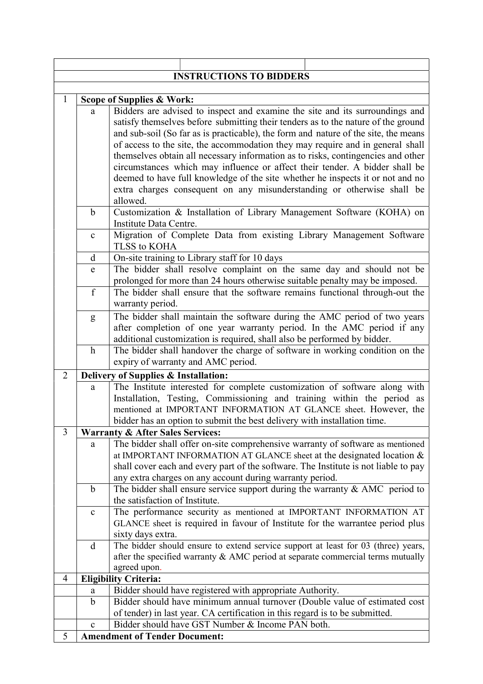| <b>INSTRUCTIONS TO BIDDERS</b> |                                      |                                                                                                                                                                                                                                                                                                                                                                                                                                |  |  |  |
|--------------------------------|--------------------------------------|--------------------------------------------------------------------------------------------------------------------------------------------------------------------------------------------------------------------------------------------------------------------------------------------------------------------------------------------------------------------------------------------------------------------------------|--|--|--|
|                                |                                      |                                                                                                                                                                                                                                                                                                                                                                                                                                |  |  |  |
| $\mathbf{1}$                   |                                      | <b>Scope of Supplies &amp; Work:</b>                                                                                                                                                                                                                                                                                                                                                                                           |  |  |  |
|                                | a                                    | Bidders are advised to inspect and examine the site and its surroundings and<br>satisfy themselves before submitting their tenders as to the nature of the ground<br>and sub-soil (So far as is practicable), the form and nature of the site, the means<br>of access to the site, the accommodation they may require and in general shall<br>themselves obtain all necessary information as to risks, contingencies and other |  |  |  |
|                                |                                      | circumstances which may influence or affect their tender. A bidder shall be                                                                                                                                                                                                                                                                                                                                                    |  |  |  |
|                                |                                      | deemed to have full knowledge of the site whether he inspects it or not and no                                                                                                                                                                                                                                                                                                                                                 |  |  |  |
|                                |                                      | extra charges consequent on any misunderstanding or otherwise shall be<br>allowed.                                                                                                                                                                                                                                                                                                                                             |  |  |  |
|                                | $\mathbf b$                          | Customization & Installation of Library Management Software (KOHA) on                                                                                                                                                                                                                                                                                                                                                          |  |  |  |
|                                |                                      | Institute Data Centre.                                                                                                                                                                                                                                                                                                                                                                                                         |  |  |  |
|                                | $\mathbf{C}$                         | Migration of Complete Data from existing Library Management Software<br>TLSS to KOHA                                                                                                                                                                                                                                                                                                                                           |  |  |  |
|                                | d                                    | On-site training to Library staff for 10 days                                                                                                                                                                                                                                                                                                                                                                                  |  |  |  |
|                                | e                                    | The bidder shall resolve complaint on the same day and should not be<br>prolonged for more than 24 hours otherwise suitable penalty may be imposed.                                                                                                                                                                                                                                                                            |  |  |  |
|                                | f                                    | The bidder shall ensure that the software remains functional through-out the<br>warranty period.                                                                                                                                                                                                                                                                                                                               |  |  |  |
|                                | g                                    | The bidder shall maintain the software during the AMC period of two years                                                                                                                                                                                                                                                                                                                                                      |  |  |  |
|                                |                                      | after completion of one year warranty period. In the AMC period if any                                                                                                                                                                                                                                                                                                                                                         |  |  |  |
|                                | $\mathbf h$                          | additional customization is required, shall also be performed by bidder.                                                                                                                                                                                                                                                                                                                                                       |  |  |  |
|                                |                                      | The bidder shall handover the charge of software in working condition on the<br>expiry of warranty and AMC period.                                                                                                                                                                                                                                                                                                             |  |  |  |
| $\overline{2}$                 | Delivery of Supplies & Installation: |                                                                                                                                                                                                                                                                                                                                                                                                                                |  |  |  |
|                                | a                                    | The Institute interested for complete customization of software along with                                                                                                                                                                                                                                                                                                                                                     |  |  |  |
|                                |                                      | Installation, Testing, Commissioning and training within the period as                                                                                                                                                                                                                                                                                                                                                         |  |  |  |
|                                |                                      | mentioned at IMPORTANT INFORMATION AT GLANCE sheet. However, the                                                                                                                                                                                                                                                                                                                                                               |  |  |  |
|                                |                                      | bidder has an option to submit the best delivery with installation time.                                                                                                                                                                                                                                                                                                                                                       |  |  |  |
| 3                              |                                      | <b>Warranty &amp; After Sales Services:</b>                                                                                                                                                                                                                                                                                                                                                                                    |  |  |  |
|                                | a                                    | The bidder shall offer on-site comprehensive warranty of software as mentioned                                                                                                                                                                                                                                                                                                                                                 |  |  |  |
|                                |                                      | at IMPORTANT INFORMATION AT GLANCE sheet at the designated location &                                                                                                                                                                                                                                                                                                                                                          |  |  |  |
|                                |                                      | shall cover each and every part of the software. The Institute is not liable to pay<br>any extra charges on any account during warranty period.                                                                                                                                                                                                                                                                                |  |  |  |
|                                | b                                    | The bidder shall ensure service support during the warranty $\&$ AMC period to                                                                                                                                                                                                                                                                                                                                                 |  |  |  |
|                                |                                      | the satisfaction of Institute.                                                                                                                                                                                                                                                                                                                                                                                                 |  |  |  |
|                                | $\mathbf c$                          | The performance security as mentioned at IMPORTANT INFORMATION AT                                                                                                                                                                                                                                                                                                                                                              |  |  |  |
|                                |                                      | GLANCE sheet is required in favour of Institute for the warrantee period plus                                                                                                                                                                                                                                                                                                                                                  |  |  |  |
|                                | d                                    | sixty days extra.<br>The bidder should ensure to extend service support at least for 03 (three) years,                                                                                                                                                                                                                                                                                                                         |  |  |  |
|                                |                                      | after the specified warranty $\&$ AMC period at separate commercial terms mutually                                                                                                                                                                                                                                                                                                                                             |  |  |  |
|                                |                                      | agreed upon.                                                                                                                                                                                                                                                                                                                                                                                                                   |  |  |  |
| 4                              |                                      | <b>Eligibility Criteria:</b>                                                                                                                                                                                                                                                                                                                                                                                                   |  |  |  |
|                                | a                                    | Bidder should have registered with appropriate Authority.                                                                                                                                                                                                                                                                                                                                                                      |  |  |  |
|                                | b                                    | Bidder should have minimum annual turnover (Double value of estimated cost                                                                                                                                                                                                                                                                                                                                                     |  |  |  |
|                                |                                      | of tender) in last year. CA certification in this regard is to be submitted.                                                                                                                                                                                                                                                                                                                                                   |  |  |  |
|                                | $\mathbf{C}$                         | Bidder should have GST Number & Income PAN both.                                                                                                                                                                                                                                                                                                                                                                               |  |  |  |
| 5                              |                                      | <b>Amendment of Tender Document:</b>                                                                                                                                                                                                                                                                                                                                                                                           |  |  |  |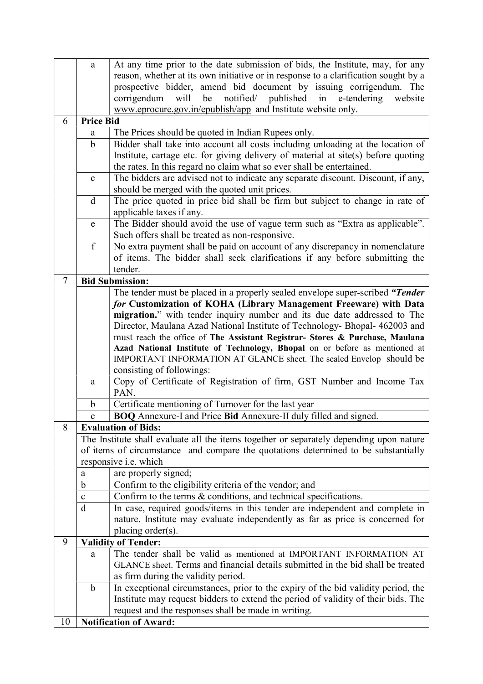|                                                                                  | a                                                                                                | At any time prior to the date submission of bids, the Institute, may, for any                       |  |  |  |
|----------------------------------------------------------------------------------|--------------------------------------------------------------------------------------------------|-----------------------------------------------------------------------------------------------------|--|--|--|
|                                                                                  |                                                                                                  | reason, whether at its own initiative or in response to a clarification sought by a                 |  |  |  |
|                                                                                  |                                                                                                  | prospective bidder, amend bid document by issuing corrigendum. The                                  |  |  |  |
|                                                                                  |                                                                                                  | will<br>be<br>notified/<br>published<br>corrigendum<br>in<br>e-tendering<br>website                 |  |  |  |
|                                                                                  |                                                                                                  | www.eprocure.gov.in/epublish/app and Institute website only.                                        |  |  |  |
| 6                                                                                | <b>Price Bid</b>                                                                                 |                                                                                                     |  |  |  |
|                                                                                  | a                                                                                                | The Prices should be quoted in Indian Rupees only.                                                  |  |  |  |
|                                                                                  | b                                                                                                | Bidder shall take into account all costs including unloading at the location of                     |  |  |  |
|                                                                                  |                                                                                                  | Institute, cartage etc. for giving delivery of material at site(s) before quoting                   |  |  |  |
|                                                                                  |                                                                                                  | the rates. In this regard no claim what so ever shall be entertained.                               |  |  |  |
|                                                                                  | $\mathbf{c}$                                                                                     | The bidders are advised not to indicate any separate discount. Discount, if any,                    |  |  |  |
|                                                                                  |                                                                                                  | should be merged with the quoted unit prices.                                                       |  |  |  |
|                                                                                  | d                                                                                                | The price quoted in price bid shall be firm but subject to change in rate of                        |  |  |  |
|                                                                                  |                                                                                                  | applicable taxes if any.                                                                            |  |  |  |
|                                                                                  | e                                                                                                | The Bidder should avoid the use of vague term such as "Extra as applicable".                        |  |  |  |
|                                                                                  |                                                                                                  | Such offers shall be treated as non-responsive.                                                     |  |  |  |
|                                                                                  | f                                                                                                | No extra payment shall be paid on account of any discrepancy in nomenclature                        |  |  |  |
|                                                                                  |                                                                                                  | of items. The bidder shall seek clarifications if any before submitting the                         |  |  |  |
|                                                                                  |                                                                                                  | tender.                                                                                             |  |  |  |
| $\tau$                                                                           |                                                                                                  | <b>Bid Submission:</b>                                                                              |  |  |  |
|                                                                                  |                                                                                                  | The tender must be placed in a properly sealed envelope super-scribed "Tender                       |  |  |  |
|                                                                                  |                                                                                                  | for Customization of KOHA (Library Management Freeware) with Data                                   |  |  |  |
|                                                                                  |                                                                                                  | migration." with tender inquiry number and its due date addressed to The                            |  |  |  |
|                                                                                  |                                                                                                  | Director, Maulana Azad National Institute of Technology- Bhopal- 462003 and                         |  |  |  |
|                                                                                  |                                                                                                  | must reach the office of The Assistant Registrar- Stores & Purchase, Maulana                        |  |  |  |
|                                                                                  |                                                                                                  | Azad National Institute of Technology, Bhopal on or before as mentioned at                          |  |  |  |
|                                                                                  |                                                                                                  | IMPORTANT INFORMATION AT GLANCE sheet. The sealed Envelop should be                                 |  |  |  |
|                                                                                  |                                                                                                  | consisting of followings:<br>Copy of Certificate of Registration of firm, GST Number and Income Tax |  |  |  |
|                                                                                  | a                                                                                                | PAN.                                                                                                |  |  |  |
|                                                                                  | $\mathbf b$                                                                                      | Certificate mentioning of Turnover for the last year                                                |  |  |  |
|                                                                                  | $\mathbf c$                                                                                      | BOQ Annexure-I and Price Bid Annexure-II duly filled and signed.                                    |  |  |  |
| 8                                                                                |                                                                                                  | <b>Evaluation of Bids:</b>                                                                          |  |  |  |
|                                                                                  |                                                                                                  | The Institute shall evaluate all the items together or separately depending upon nature             |  |  |  |
|                                                                                  |                                                                                                  | of items of circumstance and compare the quotations determined to be substantially                  |  |  |  |
|                                                                                  |                                                                                                  | responsive i.e. which                                                                               |  |  |  |
|                                                                                  | are properly signed;<br>a                                                                        |                                                                                                     |  |  |  |
|                                                                                  | $\mathbf b$<br>Confirm to the eligibility criteria of the vendor; and                            |                                                                                                     |  |  |  |
| Confirm to the terms & conditions, and technical specifications.<br>$\mathbf{C}$ |                                                                                                  |                                                                                                     |  |  |  |
|                                                                                  | In case, required goods/items in this tender are independent and complete in<br>d                |                                                                                                     |  |  |  |
|                                                                                  |                                                                                                  | nature. Institute may evaluate independently as far as price is concerned for                       |  |  |  |
|                                                                                  |                                                                                                  | placing order(s).                                                                                   |  |  |  |
| 9                                                                                |                                                                                                  | <b>Validity of Tender:</b>                                                                          |  |  |  |
|                                                                                  | a                                                                                                | The tender shall be valid as mentioned at IMPORTANT INFORMATION AT                                  |  |  |  |
|                                                                                  | GLANCE sheet. Terms and financial details submitted in the bid shall be treated                  |                                                                                                     |  |  |  |
|                                                                                  | as firm during the validity period.                                                              |                                                                                                     |  |  |  |
|                                                                                  | In exceptional circumstances, prior to the expiry of the bid validity period, the<br>$\mathbf b$ |                                                                                                     |  |  |  |
|                                                                                  | Institute may request bidders to extend the period of validity of their bids. The                |                                                                                                     |  |  |  |
|                                                                                  |                                                                                                  | request and the responses shall be made in writing.                                                 |  |  |  |
|                                                                                  |                                                                                                  | <b>Notification of Award:</b>                                                                       |  |  |  |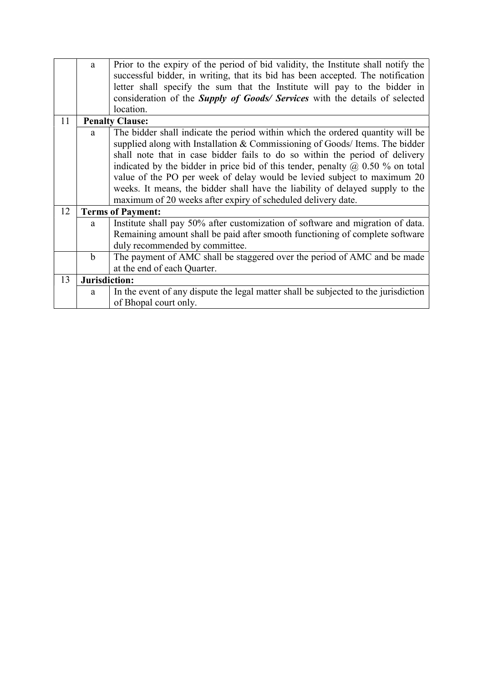|    | a             | Prior to the expiry of the period of bid validity, the Institute shall notify the     |  |  |  |
|----|---------------|---------------------------------------------------------------------------------------|--|--|--|
|    |               | successful bidder, in writing, that its bid has been accepted. The notification       |  |  |  |
|    |               | letter shall specify the sum that the Institute will pay to the bidder in             |  |  |  |
|    |               | consideration of the <i>Supply of Goods/ Services</i> with the details of selected    |  |  |  |
|    |               | location.                                                                             |  |  |  |
| 11 |               | <b>Penalty Clause:</b>                                                                |  |  |  |
|    | a             | The bidder shall indicate the period within which the ordered quantity will be        |  |  |  |
|    |               | supplied along with Installation & Commissioning of Goods/ Items. The bidder          |  |  |  |
|    |               | shall note that in case bidder fails to do so within the period of delivery           |  |  |  |
|    |               | indicated by the bidder in price bid of this tender, penalty $\omega$ 0.50 % on total |  |  |  |
|    |               | value of the PO per week of delay would be levied subject to maximum 20               |  |  |  |
|    |               | weeks. It means, the bidder shall have the liability of delayed supply to the         |  |  |  |
|    |               | maximum of 20 weeks after expiry of scheduled delivery date.                          |  |  |  |
| 12 |               | <b>Terms of Payment:</b>                                                              |  |  |  |
|    | a             | Institute shall pay 50% after customization of software and migration of data.        |  |  |  |
|    |               | Remaining amount shall be paid after smooth functioning of complete software          |  |  |  |
|    |               | duly recommended by committee.                                                        |  |  |  |
|    | $\mathbf b$   | The payment of AMC shall be staggered over the period of AMC and be made              |  |  |  |
|    |               | at the end of each Quarter.                                                           |  |  |  |
| 13 | Jurisdiction: |                                                                                       |  |  |  |
|    | a             | In the event of any dispute the legal matter shall be subjected to the jurisdiction   |  |  |  |
|    |               | of Bhopal court only.                                                                 |  |  |  |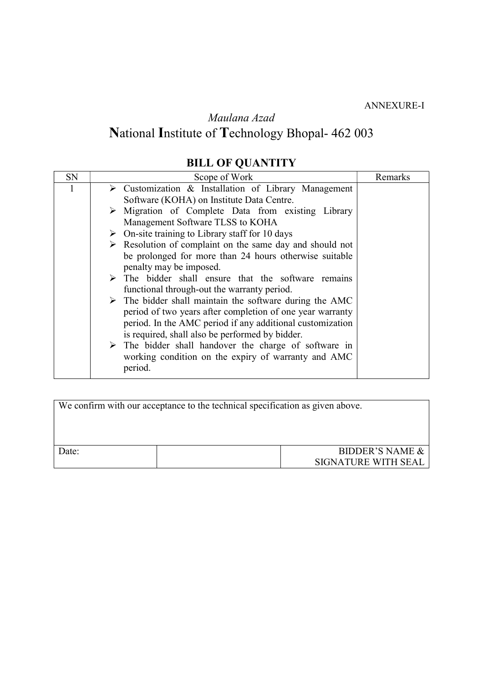ANNEXURE-I

Maulana Azad

# National Institute of Technology Bhopal- 462 003

## BILL OF QUANTITY

| SN | Scope of Work                                                           | Remarks |
|----|-------------------------------------------------------------------------|---------|
|    | $\triangleright$ Customization & Installation of Library Management     |         |
|    | Software (KOHA) on Institute Data Centre.                               |         |
|    | $\triangleright$ Migration of Complete Data from existing Library       |         |
|    | Management Software TLSS to KOHA                                        |         |
|    | $\triangleright$ On-site training to Library staff for 10 days          |         |
|    | $\triangleright$ Resolution of complaint on the same day and should not |         |
|    | be prolonged for more than 24 hours otherwise suitable                  |         |
|    | penalty may be imposed.                                                 |         |
|    | $\triangleright$ The bidder shall ensure that the software remains      |         |
|    | functional through-out the warranty period.                             |         |
|    | $\triangleright$ The bidder shall maintain the software during the AMC  |         |
|    | period of two years after completion of one year warranty               |         |
|    | period. In the AMC period if any additional customization               |         |
|    | is required, shall also be performed by bidder.                         |         |
|    | $\triangleright$ The bidder shall handover the charge of software in    |         |
|    | working condition on the expiry of warranty and AMC                     |         |
|    | period.                                                                 |         |

| We confirm with our acceptance to the technical specification as given above. |  |                            |
|-------------------------------------------------------------------------------|--|----------------------------|
|                                                                               |  |                            |
| Date:                                                                         |  | <b>BIDDER'S NAME &amp;</b> |
|                                                                               |  | SIGNATURE WITH SEAL        |